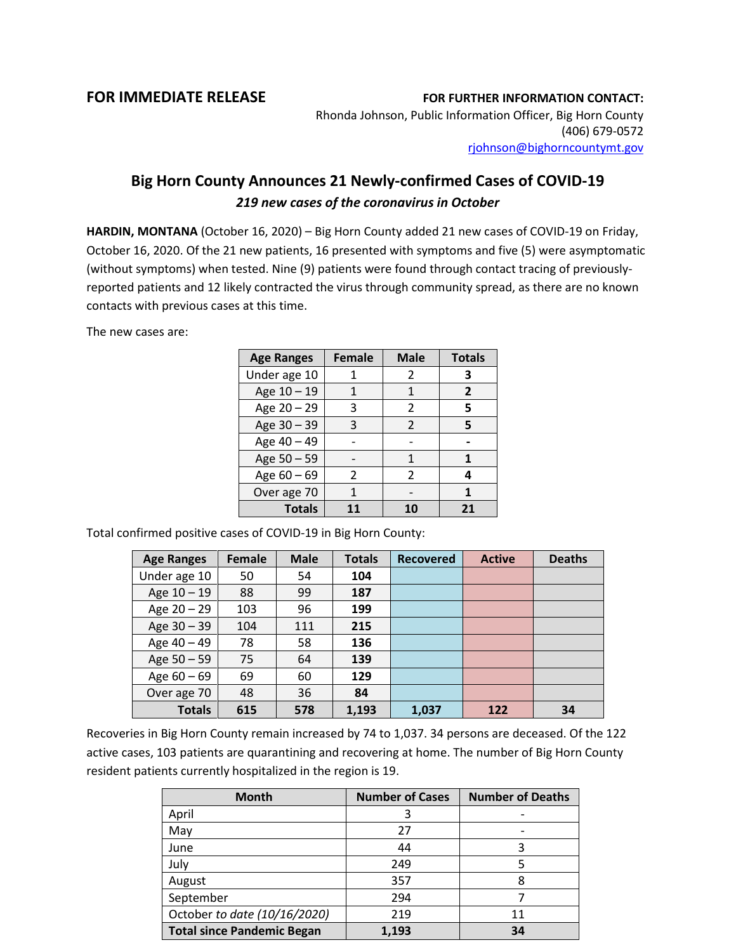## **FOR IMMEDIATE RELEASE FOR FURTHER INFORMATION CONTACT:**

Rhonda Johnson, Public Information Officer, Big Horn County (406) 679-0572 [rjohnson@bighorncountymt.gov](mailto:rjohnson@bighorncountymt.gov)

## **Big Horn County Announces 21 Newly-confirmed Cases of COVID-19** *219 new cases of the coronavirus in October*

**HARDIN, MONTANA** (October 16, 2020) – Big Horn County added 21 new cases of COVID-19 on Friday, October 16, 2020. Of the 21 new patients, 16 presented with symptoms and five (5) were asymptomatic (without symptoms) when tested. Nine (9) patients were found through contact tracing of previouslyreported patients and 12 likely contracted the virus through community spread, as there are no known contacts with previous cases at this time.

The new cases are:

| <b>Age Ranges</b> | <b>Female</b> | <b>Male</b>    | <b>Totals</b>  |
|-------------------|---------------|----------------|----------------|
| Under age 10      |               | 2              | 3              |
| Age 10 - 19       |               | 1              | $\overline{2}$ |
| Age 20 - 29       | 3             | $\mathfrak z$  | 5              |
| Age 30 - 39       | 3             | $\mathfrak{p}$ | 5              |
| Age 40 - 49       |               |                |                |
| Age 50 - 59       |               | 1              | 1              |
| Age 60 - 69       | 2             | 2              | 4              |
| Over age 70       |               |                |                |
| <b>Totals</b>     | 11            | 10             | 21             |

Total confirmed positive cases of COVID-19 in Big Horn County:

| <b>Age Ranges</b> | <b>Female</b> | <b>Male</b> | <b>Totals</b> | <b>Recovered</b> | <b>Active</b> | <b>Deaths</b> |
|-------------------|---------------|-------------|---------------|------------------|---------------|---------------|
| Under age 10      | 50            | 54          | 104           |                  |               |               |
| Age 10 - 19       | 88            | 99          | 187           |                  |               |               |
| Age 20 - 29       | 103           | 96          | 199           |                  |               |               |
| Age 30 - 39       | 104           | 111         | 215           |                  |               |               |
| Age 40 - 49       | 78            | 58          | 136           |                  |               |               |
| Age 50 - 59       | 75            | 64          | 139           |                  |               |               |
| Age $60 - 69$     | 69            | 60          | 129           |                  |               |               |
| Over age 70       | 48            | 36          | 84            |                  |               |               |
| <b>Totals</b>     | 615           | 578         | 1,193         | 1,037            | 122           | 34            |

Recoveries in Big Horn County remain increased by 74 to 1,037. 34 persons are deceased. Of the 122 active cases, 103 patients are quarantining and recovering at home. The number of Big Horn County resident patients currently hospitalized in the region is 19.

| <b>Month</b>                      | <b>Number of Cases</b> | <b>Number of Deaths</b> |
|-----------------------------------|------------------------|-------------------------|
| April                             | 3                      |                         |
| May                               | 27                     |                         |
| June                              | 44                     | 3                       |
| July                              | 249                    |                         |
| August                            | 357                    | 8                       |
| September                         | 294                    |                         |
| October to date (10/16/2020)      | 219                    | 11                      |
| <b>Total since Pandemic Began</b> | 1,193                  | 34                      |